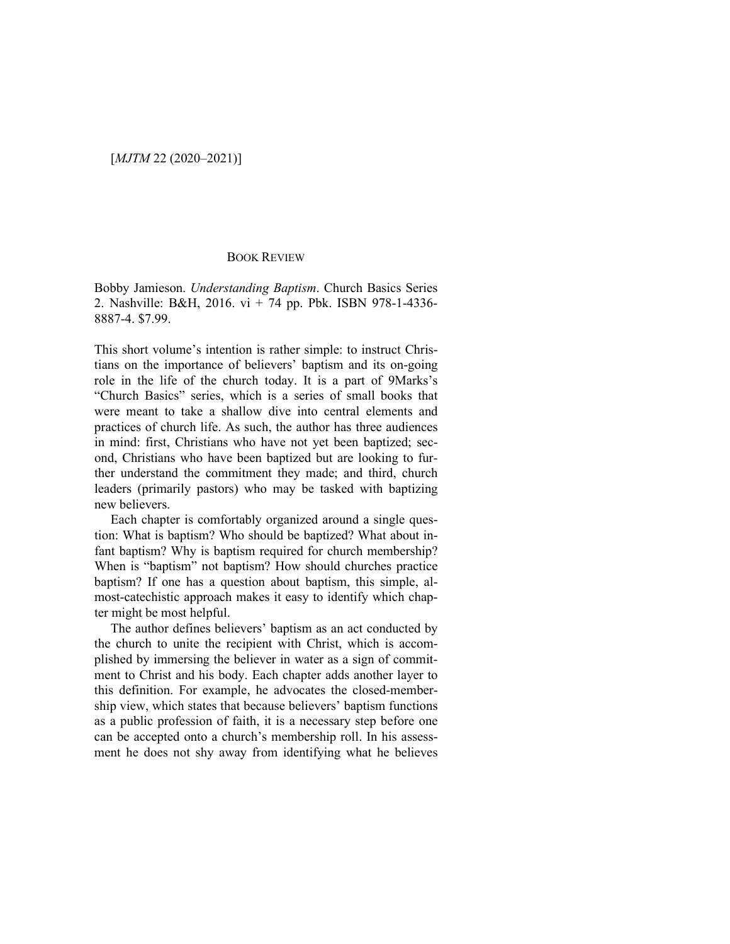## BOOK REVIEW

Bobby Jamieson. *Understanding Baptism*. Church Basics Series 2. Nashville: B&H, 2016. vi + 74 pp. Pbk. ISBN 978-1-4336- 8887-4. \$7.99.

This short volume's intention is rather simple: to instruct Christians on the importance of believers' baptism and its on-going role in the life of the church today. It is a part of 9Marks's "Church Basics" series, which is a series of small books that were meant to take a shallow dive into central elements and practices of church life. As such, the author has three audiences in mind: first, Christians who have not yet been baptized; second, Christians who have been baptized but are looking to further understand the commitment they made; and third, church leaders (primarily pastors) who may be tasked with baptizing new believers.

Each chapter is comfortably organized around a single question: What is baptism? Who should be baptized? What about infant baptism? Why is baptism required for church membership? When is "baptism" not baptism? How should churches practice baptism? If one has a question about baptism, this simple, almost-catechistic approach makes it easy to identify which chapter might be most helpful.

The author defines believers' baptism as an act conducted by the church to unite the recipient with Christ, which is accomplished by immersing the believer in water as a sign of commitment to Christ and his body. Each chapter adds another layer to this definition. For example, he advocates the closed-membership view, which states that because believers' baptism functions as a public profession of faith, it is a necessary step before one can be accepted onto a church's membership roll. In his assessment he does not shy away from identifying what he believes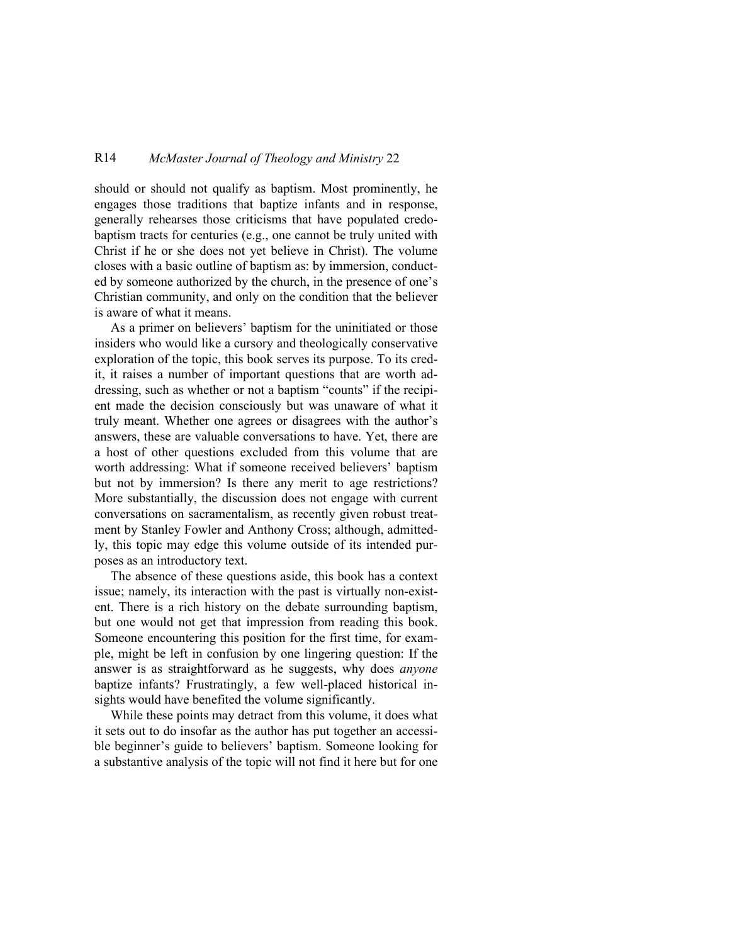## R14 *McMaster Journal of Theology and Ministry* 22

should or should not qualify as baptism. Most prominently, he engages those traditions that baptize infants and in response, generally rehearses those criticisms that have populated credobaptism tracts for centuries (e.g., one cannot be truly united with Christ if he or she does not yet believe in Christ). The volume closes with a basic outline of baptism as: by immersion, conducted by someone authorized by the church, in the presence of one's Christian community, and only on the condition that the believer is aware of what it means.

As a primer on believers' baptism for the uninitiated or those insiders who would like a cursory and theologically conservative exploration of the topic, this book serves its purpose. To its credit, it raises a number of important questions that are worth addressing, such as whether or not a baptism "counts" if the recipient made the decision consciously but was unaware of what it truly meant. Whether one agrees or disagrees with the author's answers, these are valuable conversations to have. Yet, there are a host of other questions excluded from this volume that are worth addressing: What if someone received believers' baptism but not by immersion? Is there any merit to age restrictions? More substantially, the discussion does not engage with current conversations on sacramentalism, as recently given robust treatment by Stanley Fowler and Anthony Cross; although, admittedly, this topic may edge this volume outside of its intended purposes as an introductory text.

The absence of these questions aside, this book has a context issue; namely, its interaction with the past is virtually non-existent. There is a rich history on the debate surrounding baptism, but one would not get that impression from reading this book. Someone encountering this position for the first time, for example, might be left in confusion by one lingering question: If the answer is as straightforward as he suggests, why does *anyone* baptize infants? Frustratingly, a few well-placed historical insights would have benefited the volume significantly.

While these points may detract from this volume, it does what it sets out to do insofar as the author has put together an accessible beginner's guide to believers' baptism. Someone looking for a substantive analysis of the topic will not find it here but for one